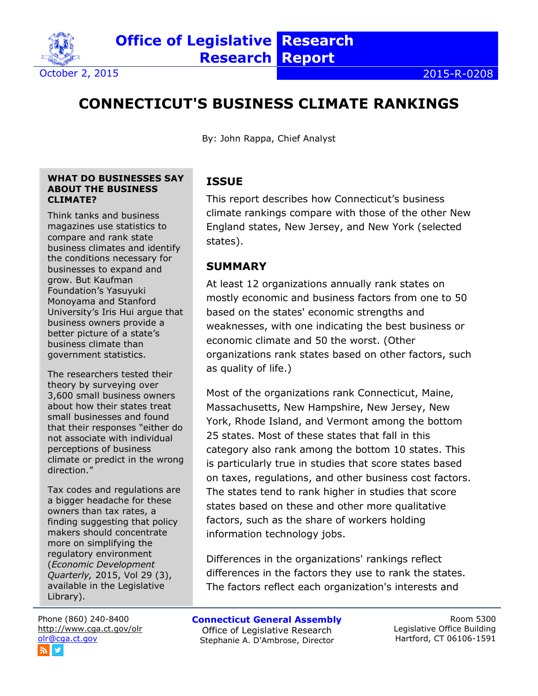

# **CONNECTICUT'S BUSINESS CLIMATE RANKINGS**

By: John Rappa, Chief Analyst

#### **WHAT DO BUSINESSES SAY ABOUT THE BUSINESS CLIMATE?**

Think tanks and business magazines use statistics to compare and rank state business climates and identify the conditions necessary for businesses to expand and grow. But Kaufman Foundation's Yasuyuki Monoyama and Stanford University's Iris Hui argue that business owners provide a better picture of a state's business climate than government statistics.

The researchers tested their theory by surveying over 3,600 small business owners about how their states treat small businesses and found that their responses "either do not associate with individual perceptions of business climate or predict in the wrong direction."

Tax codes and regulations are a bigger headache for these owners than tax rates, a finding suggesting that policy makers should concentrate more on simplifying the regulatory environment (*Economic Development Quarterly,* 2015, Vol 29 (3), available in the Legislative Library).

Phone (860) 240-8400 <http://www.cga.ct.gov/olr> [olr@cga.ct.gov](mailto:olr@cga.ct.gov) W

### **ISSUE**

This report describes how Connecticut's business climate rankings compare with those of the other New England states, New Jersey, and New York (selected states).

### **SUMMARY**

At least 12 organizations annually rank states on mostly economic and business factors from one to 50 based on the states' economic strengths and weaknesses, with one indicating the best business or economic climate and 50 the worst. (Other organizations rank states based on other factors, such as quality of life.)

Most of the organizations rank Connecticut, Maine, Massachusetts, New Hampshire, New Jersey, New York, Rhode Island, and Vermont among the bottom 25 states. Most of these states that fall in this category also rank among the bottom 10 states. This is particularly true in studies that score states based on taxes, regulations, and other business cost factors. The states tend to rank higher in studies that score states based on these and other more qualitative factors, such as the share of workers holding information technology jobs.

Differences in the organizations' rankings reflect differences in the factors they use to rank the states. The factors reflect each organization's interests and

#### **Connecticut General Assembly**

Office of Legislative Research Stephanie A. D'Ambrose, Director

Room 5300 Legislative Office Building Hartford, CT 06106-1591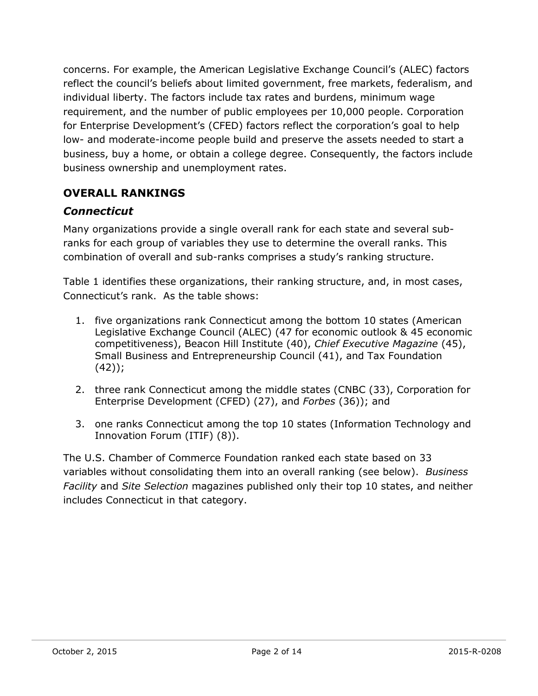concerns. For example, the American Legislative Exchange Council's (ALEC) factors reflect the council's beliefs about limited government, free markets, federalism, and individual liberty. The factors include tax rates and burdens, minimum wage requirement, and the number of public employees per 10,000 people. Corporation for Enterprise Development's (CFED) factors reflect the corporation's goal to help low- and moderate-income people build and preserve the assets needed to start a business, buy a home, or obtain a college degree. Consequently, the factors include business ownership and unemployment rates.

### **OVERALL RANKINGS**

### *Connecticut*

Many organizations provide a single overall rank for each state and several subranks for each group of variables they use to determine the overall ranks. This combination of overall and sub-ranks comprises a study's ranking structure.

Table 1 identifies these organizations, their ranking structure, and, in most cases, Connecticut's rank. As the table shows:

- 1. five organizations rank Connecticut among the bottom 10 states (American Legislative Exchange Council (ALEC) (47 for economic outlook & 45 economic competitiveness), Beacon Hill Institute (40), *Chief Executive Magazine* (45), Small Business and Entrepreneurship Council (41), and Tax Foundation  $(42)$ ;
- 2. three rank Connecticut among the middle states (CNBC (33), Corporation for Enterprise Development (CFED) (27), and *Forbes* (36)); and
- 3. one ranks Connecticut among the top 10 states (Information Technology and Innovation Forum (ITIF) (8)).

The U.S. Chamber of Commerce Foundation ranked each state based on 33 variables without consolidating them into an overall ranking (see below). *Business Facility* and *Site Selection* magazines published only their top 10 states, and neither includes Connecticut in that category.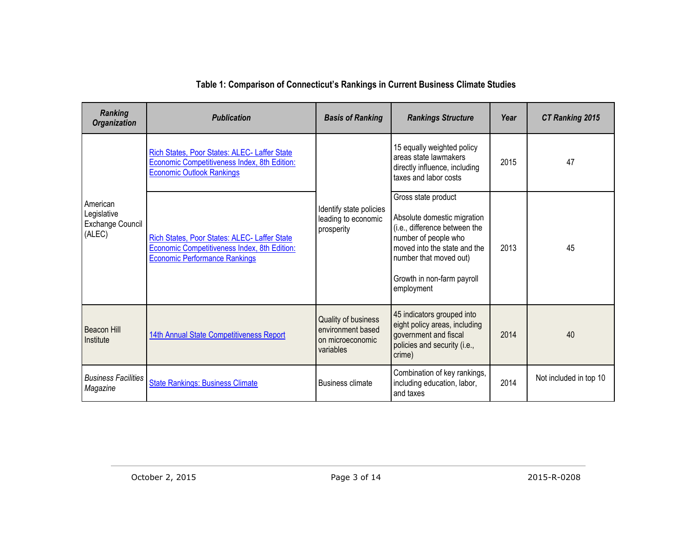### **Table 1: Comparison of Connecticut's Rankings in Current Business Climate Studies**

| <b>Ranking</b><br><b>Organization</b>                 | <b>Publication</b>                                                                                                                   | <b>Basis of Ranking</b>                                                   | <b>Rankings Structure</b>                                                                                                                                                                                         | Year | <b>CT Ranking 2015</b> |
|-------------------------------------------------------|--------------------------------------------------------------------------------------------------------------------------------------|---------------------------------------------------------------------------|-------------------------------------------------------------------------------------------------------------------------------------------------------------------------------------------------------------------|------|------------------------|
|                                                       | Rich States, Poor States: ALEC- Laffer State<br>Economic Competitiveness Index, 8th Edition:<br><b>Economic Outlook Rankings</b>     |                                                                           | 15 equally weighted policy<br>areas state lawmakers<br>directly influence, including<br>taxes and labor costs                                                                                                     | 2015 | 47                     |
| American<br>Legislative<br>Exchange Council<br>(ALEC) | Rich States, Poor States: ALEC- Laffer State<br>Economic Competitiveness Index, 8th Edition:<br><b>Economic Performance Rankings</b> | Identify state policies<br>leading to economic<br>prosperity              | Gross state product<br>Absolute domestic migration<br>(i.e., difference between the<br>number of people who<br>moved into the state and the<br>number that moved out)<br>Growth in non-farm payroll<br>employment | 2013 | 45                     |
| Beacon Hill<br>Institute                              | 14th Annual State Competitiveness Report                                                                                             | Quality of business<br>environment based<br>on microeconomic<br>variables | 45 indicators grouped into<br>eight policy areas, including<br>government and fiscal<br>policies and security (i.e.,<br>crime)                                                                                    | 2014 | 40                     |
| <b>Business Facilities</b><br>Magazine                | <b>State Rankings: Business Climate</b>                                                                                              | <b>Business climate</b>                                                   | Combination of key rankings,<br>including education, labor,<br>and taxes                                                                                                                                          |      | Not included in top 10 |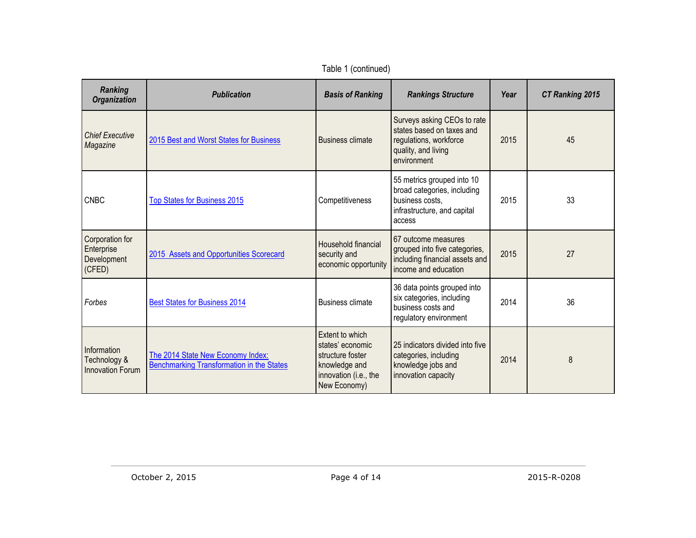| Ranking<br><b>Organization</b>                         | <b>Publication</b>                                                                    | <b>Basis of Ranking</b>                                                                                           | <b>Rankings Structure</b>                                                                                                | Year | <b>CT Ranking 2015</b> |
|--------------------------------------------------------|---------------------------------------------------------------------------------------|-------------------------------------------------------------------------------------------------------------------|--------------------------------------------------------------------------------------------------------------------------|------|------------------------|
| <b>Chief Executive</b><br>Magazine                     | 2015 Best and Worst States for Business                                               | <b>Business climate</b>                                                                                           | Surveys asking CEOs to rate<br>states based on taxes and<br>regulations, workforce<br>quality, and living<br>environment | 2015 | 45                     |
| <b>CNBC</b>                                            | <b>Top States for Business 2015</b>                                                   | Competitiveness                                                                                                   | 55 metrics grouped into 10<br>broad categories, including<br>business costs.<br>infrastructure, and capital<br>access    | 2015 | 33                     |
| Corporation for<br>Enterprise<br>Development<br>(CFED) | 2015 Assets and Opportunities Scorecard                                               | Household financial<br>security and<br>economic opportunity                                                       | 67 outcome measures<br>grouped into five categories,<br>including financial assets and<br>income and education           | 2015 | 27                     |
| Forbes                                                 | <b>Best States for Business 2014</b>                                                  | <b>Business climate</b>                                                                                           | 36 data points grouped into<br>six categories, including<br>business costs and<br>regulatory environment                 | 2014 | 36                     |
| Information<br>Technology &<br><b>Innovation Forum</b> | The 2014 State New Economy Index:<br><b>Benchmarking Transformation in the States</b> | Extent to which<br>states' economic<br>structure foster<br>knowledge and<br>innovation (i.e., the<br>New Economy) | 25 indicators divided into five<br>categories, including<br>knowledge jobs and<br>innovation capacity                    | 2014 | 8                      |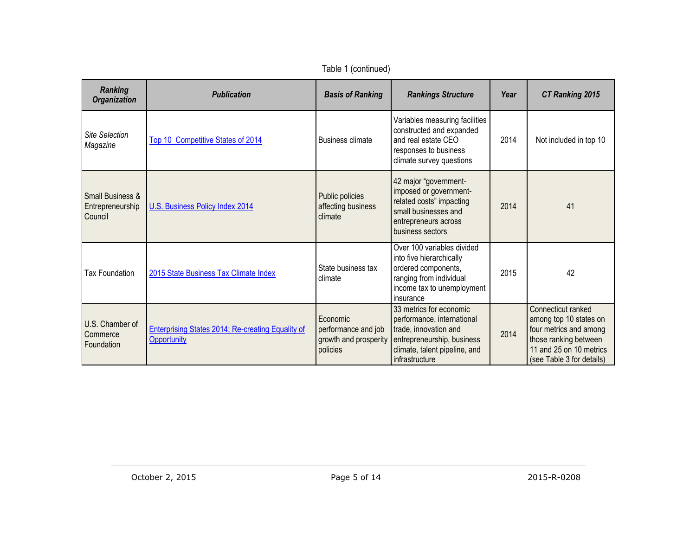| Ranking<br><b>Organization</b>                             | <b>Publication</b>                                                      | <b>Basis of Ranking</b>                                              | <b>Rankings Structure</b>                                                                                                                                       | Year | <b>CT Ranking 2015</b>                                                                                                                                  |
|------------------------------------------------------------|-------------------------------------------------------------------------|----------------------------------------------------------------------|-----------------------------------------------------------------------------------------------------------------------------------------------------------------|------|---------------------------------------------------------------------------------------------------------------------------------------------------------|
| <b>Site Selection</b><br>Magazine                          | Top 10 Competitive States of 2014                                       | <b>Business climate</b>                                              | Variables measuring facilities<br>constructed and expanded<br>and real estate CEO<br>responses to business<br>climate survey questions                          | 2014 | Not included in top 10                                                                                                                                  |
| <b>Small Business &amp;</b><br>Entrepreneurship<br>Council | U.S. Business Policy Index 2014                                         | Public policies<br>affecting business<br>climate                     | 42 major "government-<br>imposed or government-<br>related costs" impacting<br>small businesses and<br>entrepreneurs across<br>business sectors                 | 2014 | 41                                                                                                                                                      |
| Tax Foundation                                             | 2015 State Business Tax Climate Index                                   | State business tax<br>climate                                        | Over 100 variables divided<br>into five hierarchically<br>ordered components,<br>ranging from individual<br>income tax to unemployment<br>insurance             | 2015 | 42                                                                                                                                                      |
| U.S. Chamber of<br>Commerce<br>Foundation                  | <b>Enterprising States 2014; Re-creating Equality of</b><br>Opportunity | Economic<br>performance and job<br>growth and prosperity<br>policies | 33 metrics for economic<br>performance, international<br>trade, innovation and<br>entrepreneurship, business<br>climate, talent pipeline, and<br>infrastructure | 2014 | Connecticut ranked<br>among top 10 states on<br>four metrics and among<br>those ranking between<br>11 and 25 on 10 metrics<br>(see Table 3 for details) |

Table 1 (continued)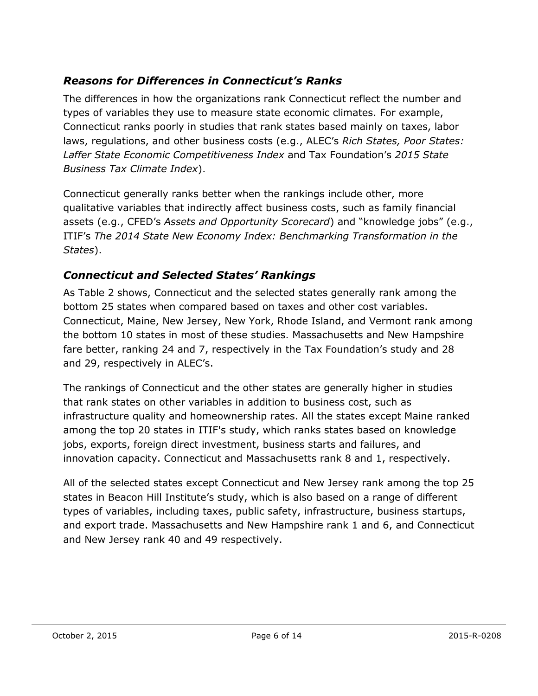## *Reasons for Differences in Connecticut's Ranks*

The differences in how the organizations rank Connecticut reflect the number and types of variables they use to measure state economic climates. For example, Connecticut ranks poorly in studies that rank states based mainly on taxes, labor laws, regulations, and other business costs (e.g., ALEC's *Rich States, Poor States: Laffer State Economic Competitiveness Index* and Tax Foundation's *2015 State Business Tax Climate Index*).

Connecticut generally ranks better when the rankings include other, more qualitative variables that indirectly affect business costs, such as family financial assets (e.g., CFED's *Assets and Opportunity Scorecard*) and "knowledge jobs" (e.g., ITIF's *The 2014 State New Economy Index: Benchmarking Transformation in the States*).

### *Connecticut and Selected States' Rankings*

As Table 2 shows, Connecticut and the selected states generally rank among the bottom 25 states when compared based on taxes and other cost variables. Connecticut, Maine, New Jersey, New York, Rhode Island, and Vermont rank among the bottom 10 states in most of these studies. Massachusetts and New Hampshire fare better, ranking 24 and 7, respectively in the Tax Foundation's study and 28 and 29, respectively in ALEC's.

The rankings of Connecticut and the other states are generally higher in studies that rank states on other variables in addition to business cost, such as infrastructure quality and homeownership rates. All the states except Maine ranked among the top 20 states in ITIF's study, which ranks states based on knowledge jobs, exports, foreign direct investment, business starts and failures, and innovation capacity. Connecticut and Massachusetts rank 8 and 1, respectively.

All of the selected states except Connecticut and New Jersey rank among the top 25 states in Beacon Hill Institute's study, which is also based on a range of different types of variables, including taxes, public safety, infrastructure, business startups, and export trade. Massachusetts and New Hampshire rank 1 and 6, and Connecticut and New Jersey rank 40 and 49 respectively.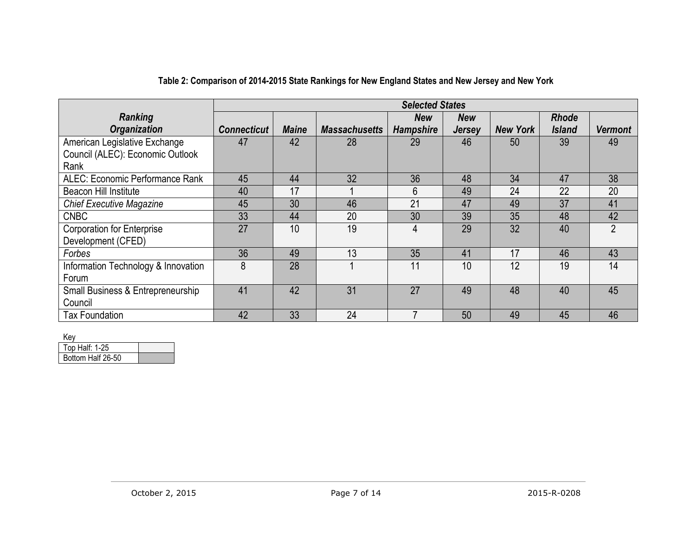|                                     |                    |              |                      | <b>Selected States</b> |               |                 |               |                |
|-------------------------------------|--------------------|--------------|----------------------|------------------------|---------------|-----------------|---------------|----------------|
| <b>Ranking</b>                      |                    |              |                      | <b>New</b>             | <b>New</b>    |                 | <b>Rhode</b>  |                |
| <b>Organization</b>                 | <b>Connecticut</b> | <b>Maine</b> | <b>Massachusetts</b> | <b>Hampshire</b>       | <b>Jersey</b> | <b>New York</b> | <b>Island</b> | <b>Vermont</b> |
| American Legislative Exchange       | 47                 | 42           | 28                   | 29                     | 46            | 50              | 39            | 49             |
| Council (ALEC): Economic Outlook    |                    |              |                      |                        |               |                 |               |                |
| Rank                                |                    |              |                      |                        |               |                 |               |                |
| ALEC: Economic Performance Rank     | 45                 | 44           | 32                   | 36                     | 48            | 34              | 47            | 38             |
| Beacon Hill Institute               | 40                 | 17           |                      | 6                      | 49            | 24              | 22            | 20             |
| <b>Chief Executive Magazine</b>     | 45                 | 30           | 46                   | 21                     | 47            | 49              | 37            | 41             |
| <b>CNBC</b>                         | 33                 | 44           | 20                   | 30                     | 39            | 35              | 48            | 42             |
| <b>Corporation for Enterprise</b>   | 27                 | 10           | 19                   | 4                      | 29            | 32              | 40            | $\overline{2}$ |
| Development (CFED)                  |                    |              |                      |                        |               |                 |               |                |
| Forbes                              | 36                 | 49           | 13                   | 35                     | 41            | 17              | 46            | 43             |
| Information Technology & Innovation | 8                  | 28           |                      | 11                     | 10            | 12              | 19            | 14             |
| Forum                               |                    |              |                      |                        |               |                 |               |                |
| Small Business & Entrepreneurship   | 41                 | 42           | 31                   | 27                     | 49            | 48              | 40            | 45             |
| Council                             |                    |              |                      |                        |               |                 |               |                |
| <b>Tax Foundation</b>               | 42                 | 33           | 24                   |                        | 50            | 49              | 45            | 46             |

#### **Table 2: Comparison of 2014-2015 State Rankings for New England States and New Jersey and New York**

Key

| Top Half: 1-25    |  |
|-------------------|--|
| Bottom Half 26-50 |  |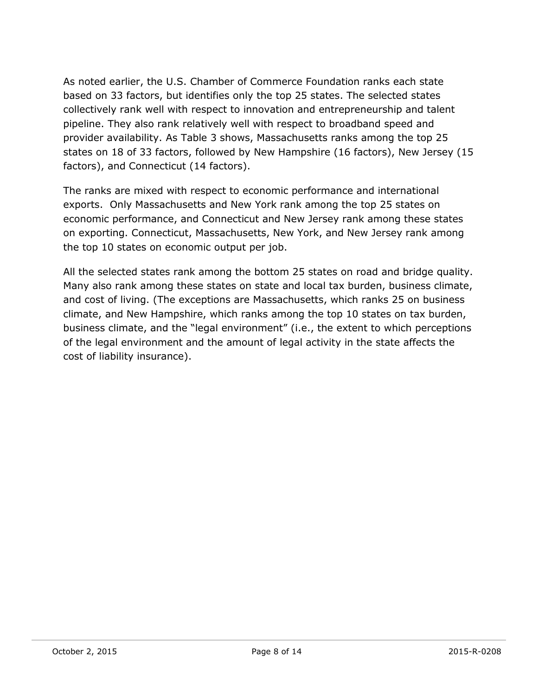As noted earlier, the U.S. Chamber of Commerce Foundation ranks each state based on 33 factors, but identifies only the top 25 states. The selected states collectively rank well with respect to innovation and entrepreneurship and talent pipeline. They also rank relatively well with respect to broadband speed and provider availability. As Table 3 shows, Massachusetts ranks among the top 25 states on 18 of 33 factors, followed by New Hampshire (16 factors), New Jersey (15 factors), and Connecticut (14 factors).

The ranks are mixed with respect to economic performance and international exports. Only Massachusetts and New York rank among the top 25 states on economic performance, and Connecticut and New Jersey rank among these states on exporting. Connecticut, Massachusetts, New York, and New Jersey rank among the top 10 states on economic output per job.

All the selected states rank among the bottom 25 states on road and bridge quality. Many also rank among these states on state and local tax burden, business climate, and cost of living. (The exceptions are Massachusetts, which ranks 25 on business climate, and New Hampshire, which ranks among the top 10 states on tax burden, business climate, and the "legal environment" (i.e., the extent to which perceptions of the legal environment and the amount of legal activity in the state affects the cost of liability insurance).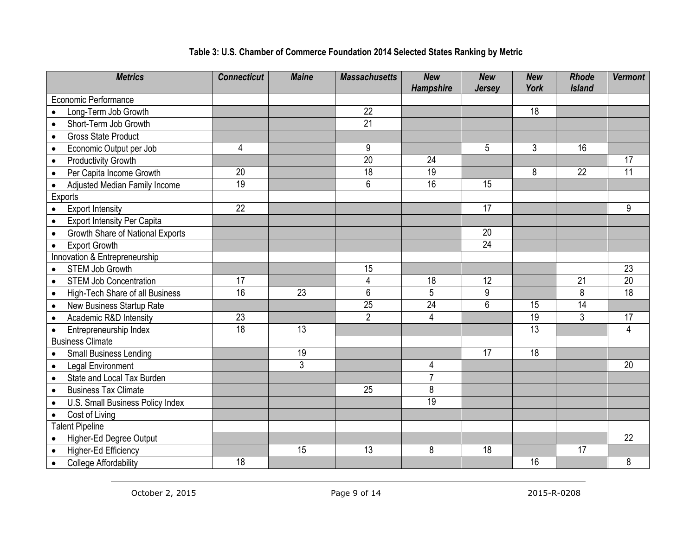| <b>Metrics</b>                                  | <b>Connecticut</b> | <b>Maine</b>   | <b>Massachusetts</b> | <b>New</b><br><b>Hampshire</b> | <b>New</b><br><b>Jersey</b> | <b>New</b><br>York | <b>Rhode</b><br><b>Island</b> | <b>Vermont</b>  |
|-------------------------------------------------|--------------------|----------------|----------------------|--------------------------------|-----------------------------|--------------------|-------------------------------|-----------------|
| Economic Performance                            |                    |                |                      |                                |                             |                    |                               |                 |
| Long-Term Job Growth<br>$\bullet$               |                    |                | 22                   |                                |                             | 18                 |                               |                 |
| Short-Term Job Growth<br>$\bullet$              |                    |                | $\overline{21}$      |                                |                             |                    |                               |                 |
| <b>Gross State Product</b><br>$\bullet$         |                    |                |                      |                                |                             |                    |                               |                 |
| Economic Output per Job<br>$\bullet$            | 4                  |                | 9                    |                                | 5                           | 3                  | 16                            |                 |
| <b>Productivity Growth</b><br>$\bullet$         |                    |                | $\overline{20}$      | 24                             |                             |                    |                               | 17              |
| Per Capita Income Growth<br>$\bullet$           | 20                 |                | $\overline{18}$      | 19                             |                             | 8                  | 22                            | $\overline{11}$ |
| Adjusted Median Family Income<br>$\bullet$      | 19                 |                | 6                    | 16                             | 15                          |                    |                               |                 |
| Exports                                         |                    |                |                      |                                |                             |                    |                               |                 |
| <b>Export Intensity</b><br>$\bullet$            | 22                 |                |                      |                                | 17                          |                    |                               | 9               |
| <b>Export Intensity Per Capita</b><br>$\bullet$ |                    |                |                      |                                |                             |                    |                               |                 |
| Growth Share of National Exports<br>$\bullet$   |                    |                |                      |                                | 20                          |                    |                               |                 |
| <b>Export Growth</b><br>$\bullet$               |                    |                |                      |                                | 24                          |                    |                               |                 |
| Innovation & Entrepreneurship                   |                    |                |                      |                                |                             |                    |                               |                 |
| <b>STEM Job Growth</b><br>$\bullet$             |                    |                | 15                   |                                |                             |                    |                               | $\overline{23}$ |
| <b>STEM Job Concentration</b><br>$\bullet$      | 17                 |                | 4                    | 18                             | 12                          |                    | $\overline{21}$               | 20              |
| High-Tech Share of all Business<br>$\bullet$    | 16                 | 23             | $6\phantom{1}$       | 5                              | 9                           |                    | 8                             | $\overline{18}$ |
| New Business Startup Rate<br>$\bullet$          |                    |                | $\overline{25}$      | $\overline{24}$                | 6                           | 15                 | 14                            |                 |
| Academic R&D Intensity<br>$\bullet$             | 23                 |                | $\overline{2}$       | $\overline{4}$                 |                             | 19                 | 3                             | 17              |
| Entrepreneurship Index<br>$\bullet$             | $\overline{18}$    | 13             |                      |                                |                             | 13                 |                               | 4               |
| <b>Business Climate</b>                         |                    |                |                      |                                |                             |                    |                               |                 |
| <b>Small Business Lending</b><br>$\bullet$      |                    | 19             |                      |                                | 17                          | 18                 |                               |                 |
| <b>Legal Environment</b><br>$\bullet$           |                    | $\overline{3}$ |                      | 4                              |                             |                    |                               | 20              |
| State and Local Tax Burden<br>$\bullet$         |                    |                |                      | $\overline{7}$                 |                             |                    |                               |                 |
| <b>Business Tax Climate</b><br>$\bullet$        |                    |                | 25                   | 8                              |                             |                    |                               |                 |
| U.S. Small Business Policy Index<br>$\bullet$   |                    |                |                      | $\overline{19}$                |                             |                    |                               |                 |
| Cost of Living<br>$\bullet$                     |                    |                |                      |                                |                             |                    |                               |                 |
| <b>Talent Pipeline</b>                          |                    |                |                      |                                |                             |                    |                               |                 |
| Higher-Ed Degree Output<br>$\bullet$            |                    |                |                      |                                |                             |                    |                               | 22              |
| Higher-Ed Efficiency<br>$\bullet$               |                    | 15             | 13                   | 8                              | 18                          |                    | 17                            |                 |
| <b>College Affordability</b><br>$\bullet$       | 18                 |                |                      |                                |                             | 16                 |                               | 8               |

### **Table 3: U.S. Chamber of Commerce Foundation 2014 Selected States Ranking by Metric**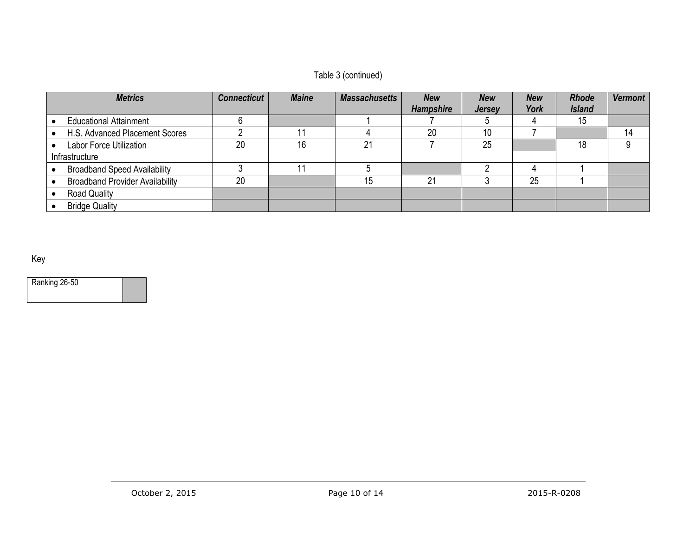### Table 3 (continued)

| <b>Metrics</b>                         | <b>Connecticut</b> | <b>Maine</b> | <b>Massachusetts</b> | <b>New</b>       | <b>New</b>    | <b>New</b> | <b>Rhode</b>  | <b>Vermont</b> |
|----------------------------------------|--------------------|--------------|----------------------|------------------|---------------|------------|---------------|----------------|
|                                        |                    |              |                      | <b>Hampshire</b> | <b>Jersey</b> | York       | <b>Island</b> |                |
| <b>Educational Attainment</b>          |                    |              |                      |                  |               |            | 15            |                |
| H.S. Advanced Placement Scores         |                    |              |                      | 20               | 10            |            |               | 14             |
| Labor Force Utilization                | 20                 | 16           | $^{\circ}$           |                  | 25            |            | 18            |                |
| Infrastructure                         |                    |              |                      |                  |               |            |               |                |
| <b>Broadband Speed Availability</b>    |                    |              |                      |                  |               |            |               |                |
| <b>Broadband Provider Availability</b> | 20                 |              | 15                   | 21               |               | 25         |               |                |
| <b>Road Quality</b>                    |                    |              |                      |                  |               |            |               |                |
| <b>Bridge Quality</b>                  |                    |              |                      |                  |               |            |               |                |

Key

Ranking 26-50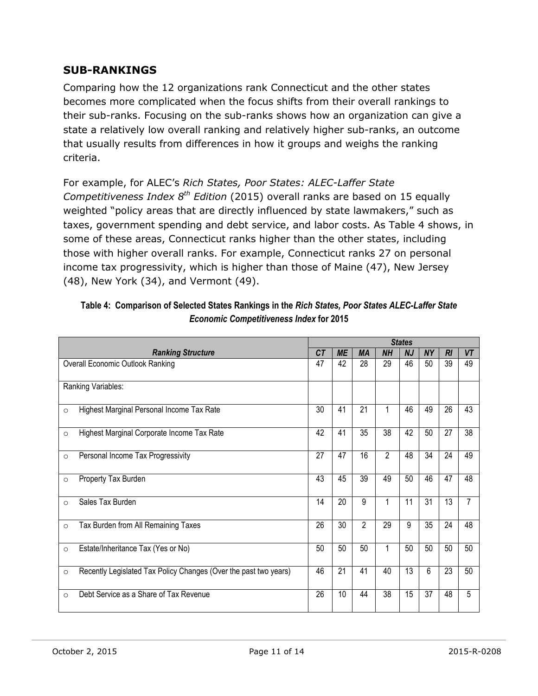#### **SUB-RANKINGS**

Comparing how the 12 organizations rank Connecticut and the other states becomes more complicated when the focus shifts from their overall rankings to their sub-ranks. Focusing on the sub-ranks shows how an organization can give a state a relatively low overall ranking and relatively higher sub-ranks, an outcome that usually results from differences in how it groups and weighs the ranking criteria.

For example, for ALEC's *Rich States, Poor States: ALEC-Laffer State Competitiveness Index 8th Edition* (2015) overall ranks are based on 15 equally weighted "policy areas that are directly influenced by state lawmakers," such as taxes, government spending and debt service, and labor costs. As Table 4 shows, in some of these areas, Connecticut ranks higher than the other states, including those with higher overall ranks. For example, Connecticut ranks 27 on personal income tax progressivity, which is higher than those of Maine (47), New Jersey (48), New York (34), and Vermont (49).

|         |                                                                  |    |                 | <b>States</b>  |                |                 |           |                |                |  |  |  |  |
|---------|------------------------------------------------------------------|----|-----------------|----------------|----------------|-----------------|-----------|----------------|----------------|--|--|--|--|
|         | <b>Ranking Structure</b>                                         | CT | <b>ME</b>       | <b>MA</b>      | <b>NH</b>      | <b>NJ</b>       | <b>NY</b> | R <sub>l</sub> | VT             |  |  |  |  |
|         | <b>Overall Economic Outlook Ranking</b>                          | 47 | 42              | 28             | 29             | 46              | 50        | 39             | 49             |  |  |  |  |
|         | Ranking Variables:                                               |    |                 |                |                |                 |           |                |                |  |  |  |  |
| $\circ$ | Highest Marginal Personal Income Tax Rate                        | 30 | 41              | 21             | 1              | 46              | 49        | 26             | 43             |  |  |  |  |
| $\circ$ | Highest Marginal Corporate Income Tax Rate                       | 42 | 41              | 35             | 38             | 42              | 50        | 27             | 38             |  |  |  |  |
| $\circ$ | Personal Income Tax Progressivity                                | 27 | 47              | 16             | $\overline{2}$ | 48              | 34        | 24             | 49             |  |  |  |  |
| $\circ$ | Property Tax Burden                                              | 43 | 45              | 39             | 49             | 50              | 46        | 47             | 48             |  |  |  |  |
| $\circ$ | Sales Tax Burden                                                 | 14 | 20              | 9              | 1              | 11              | 31        | 13             | $\overline{7}$ |  |  |  |  |
| $\circ$ | Tax Burden from All Remaining Taxes                              | 26 | 30              | $\overline{2}$ | 29             | 9               | 35        | 24             | 48             |  |  |  |  |
| $\circ$ | Estate/Inheritance Tax (Yes or No)                               | 50 | 50              | 50             | 1              | 50              | 50        | 50             | 50             |  |  |  |  |
| $\circ$ | Recently Legislated Tax Policy Changes (Over the past two years) | 46 | $\overline{21}$ | 41             | 40             | $\overline{13}$ | 6         | 23             | 50             |  |  |  |  |
| $\circ$ | Debt Service as a Share of Tax Revenue                           | 26 | 10              | 44             | 38             | 15              | 37        | 48             | 5              |  |  |  |  |

| Table 4: Comparison of Selected States Rankings in the Rich States, Poor States ALEC-Laffer State |
|---------------------------------------------------------------------------------------------------|
| <b>Economic Competitiveness Index for 2015</b>                                                    |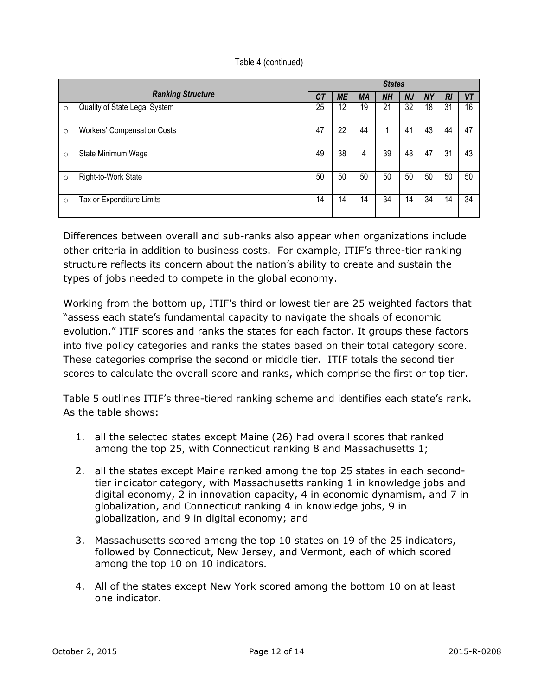|         |                                    | <b>States</b> |           |           |           |           |           |    |           |  |
|---------|------------------------------------|---------------|-----------|-----------|-----------|-----------|-----------|----|-----------|--|
|         | <b>Ranking Structure</b>           | СT            | <b>ME</b> | <b>MA</b> | <b>NH</b> | <b>NJ</b> | <b>NY</b> | RI | <b>VT</b> |  |
| $\circ$ | Quality of State Legal System      | 25            | 12        | 19        | 21        | 32        | 18        | 31 | 16        |  |
| $\circ$ | <b>Workers' Compensation Costs</b> | 47            | 22        | 44        |           | 41        | 43        | 44 | 47        |  |
| $\circ$ | State Minimum Wage                 | 49            | 38        | 4         | 39        | 48        | 47        | 31 | 43        |  |
| $\circ$ | Right-to-Work State                | 50            | 50        | 50        | 50        | 50        | 50        | 50 | 50        |  |
| $\circ$ | Tax or Expenditure Limits          | 14            | 14        | 14        | 34        | 14        | 34        | 14 | 34        |  |

Differences between overall and sub-ranks also appear when organizations include other criteria in addition to business costs. For example, ITIF's three-tier ranking structure reflects its concern about the nation's ability to create and sustain the types of jobs needed to compete in the global economy.

Working from the bottom up, ITIF's third or lowest tier are 25 weighted factors that "assess each state's fundamental capacity to navigate the shoals of economic evolution." ITIF scores and ranks the states for each factor. It groups these factors into five policy categories and ranks the states based on their total category score. These categories comprise the second or middle tier. ITIF totals the second tier scores to calculate the overall score and ranks, which comprise the first or top tier.

Table 5 outlines ITIF's three-tiered ranking scheme and identifies each state's rank. As the table shows:

- 1. all the selected states except Maine (26) had overall scores that ranked among the top 25, with Connecticut ranking 8 and Massachusetts 1;
- 2. all the states except Maine ranked among the top 25 states in each secondtier indicator category, with Massachusetts ranking 1 in knowledge jobs and digital economy, 2 in innovation capacity, 4 in economic dynamism, and 7 in globalization, and Connecticut ranking 4 in knowledge jobs, 9 in globalization, and 9 in digital economy; and
- 3. Massachusetts scored among the top 10 states on 19 of the 25 indicators, followed by Connecticut, New Jersey, and Vermont, each of which scored among the top 10 on 10 indicators.
- 4. All of the states except New York scored among the bottom 10 on at least one indicator.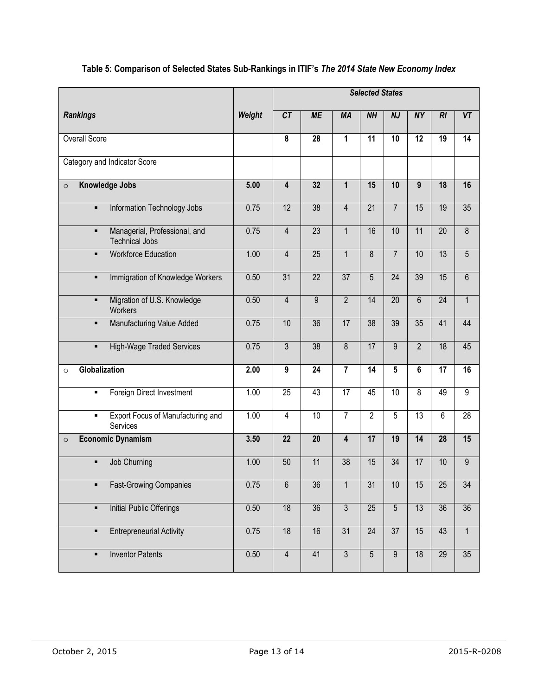|                                                                          |        | <b>Selected States</b>  |                 |                 |                 |                 |                 |                 |                 |
|--------------------------------------------------------------------------|--------|-------------------------|-----------------|-----------------|-----------------|-----------------|-----------------|-----------------|-----------------|
| <b>Rankings</b>                                                          | Weight | CT                      | <b>ME</b>       | <b>MA</b>       | <b>NH</b>       | <b>NJ</b>       | <b>NY</b>       | RI              | VT              |
| <b>Overall Score</b>                                                     |        | 8                       | 28              | 1               | $\overline{11}$ | $\overline{10}$ | 12              | 19              | $\overline{14}$ |
| Category and Indicator Score                                             |        |                         |                 |                 |                 |                 |                 |                 |                 |
| <b>Knowledge Jobs</b><br>$\circ$                                         | 5.00   | $\overline{\mathbf{4}}$ | 32              | $\overline{1}$  | 15              | 10              | 9               | 18              | 16              |
| Information Technology Jobs<br>$\blacksquare$                            | 0.75   | 12                      | 38              | $\overline{4}$  | $\overline{21}$ | $\overline{7}$  | 15              | 19              | 35              |
| Managerial, Professional, and<br>$\blacksquare$<br><b>Technical Jobs</b> | 0.75   | $\overline{4}$          | $\overline{23}$ | $\mathbf{1}$    | 16              | 10              | 11              | $\overline{20}$ | $\overline{8}$  |
| <b>Workforce Education</b><br>$\blacksquare$                             | 1.00   | $\overline{4}$          | $\overline{25}$ | $\overline{1}$  | $\overline{8}$  | $\overline{7}$  | 10              | 13              | $\overline{5}$  |
| Immigration of Knowledge Workers<br>$\blacksquare$                       | 0.50   | 31                      | $\overline{22}$ | $\overline{37}$ | $\overline{5}$  | $\overline{24}$ | 39              | 15              | $\overline{6}$  |
| Migration of U.S. Knowledge<br>$\blacksquare$<br>Workers                 | 0.50   | $\overline{4}$          | $\overline{9}$  | $\overline{2}$  | 14              | $\overline{20}$ | 6               | $\overline{24}$ | $\overline{1}$  |
| Manufacturing Value Added<br>$\blacksquare$                              | 0.75   | 10                      | 36              | 17              | 38              | 39              | 35              | 41              | 44              |
| <b>High-Wage Traded Services</b><br>$\blacksquare$                       | 0.75   | $\overline{3}$          | 38              | 8               | 17              | 9               | $\overline{2}$  | 18              | 45              |
| Globalization<br>$\circ$                                                 | 2.00   | 9                       | 24              | $\overline{7}$  | 14              | 5               | $6\phantom{a}$  | $\overline{17}$ | 16              |
| Foreign Direct Investment<br>٠                                           | 1.00   | $\overline{25}$         | 43              | $\overline{17}$ | 45              | 10              | $\overline{8}$  | 49              | $\overline{9}$  |
| <b>Export Focus of Manufacturing and</b><br>$\blacksquare$<br>Services   | 1.00   | $\overline{4}$          | 10              | $\overline{7}$  | $\overline{2}$  | $\overline{5}$  | $\overline{13}$ | $\overline{6}$  | $\overline{28}$ |
| <b>Economic Dynamism</b><br>$\circ$                                      | 3.50   | $\overline{22}$         | $\overline{20}$ | 4               | 17              | 19              | 14              | 28              | 15              |
| Job Churning<br>$\blacksquare$                                           | 1.00   | 50                      | 11              | $\overline{38}$ | 15              | $\overline{34}$ | 17              | 10              | $\overline{9}$  |
| <b>Fast-Growing Companies</b><br>٠                                       | 0.75   | $6\,$                   | 36              | $\mathbf{1}$    | 31              | 10              | 15              | 25              | $\overline{34}$ |
| <b>Initial Public Offerings</b><br>$\blacksquare$                        | 0.50   | 18                      | 36              | $\overline{3}$  | 25              | $\overline{5}$  | 13              | $\overline{36}$ | 36              |
| <b>Entrepreneurial Activity</b><br>$\blacksquare$                        | 0.75   | 18                      | 16              | 31              | 24              | $\overline{37}$ | 15              | 43              | $\overline{1}$  |
| <b>Inventor Patents</b><br>٠                                             | 0.50   | $\overline{4}$          | 41              | $\overline{3}$  | $\overline{5}$  | $\overline{9}$  | 18              | 29              | 35              |

### **Table 5: Comparison of Selected States Sub-Rankings in ITIF's** *The 2014 State New Economy Index*